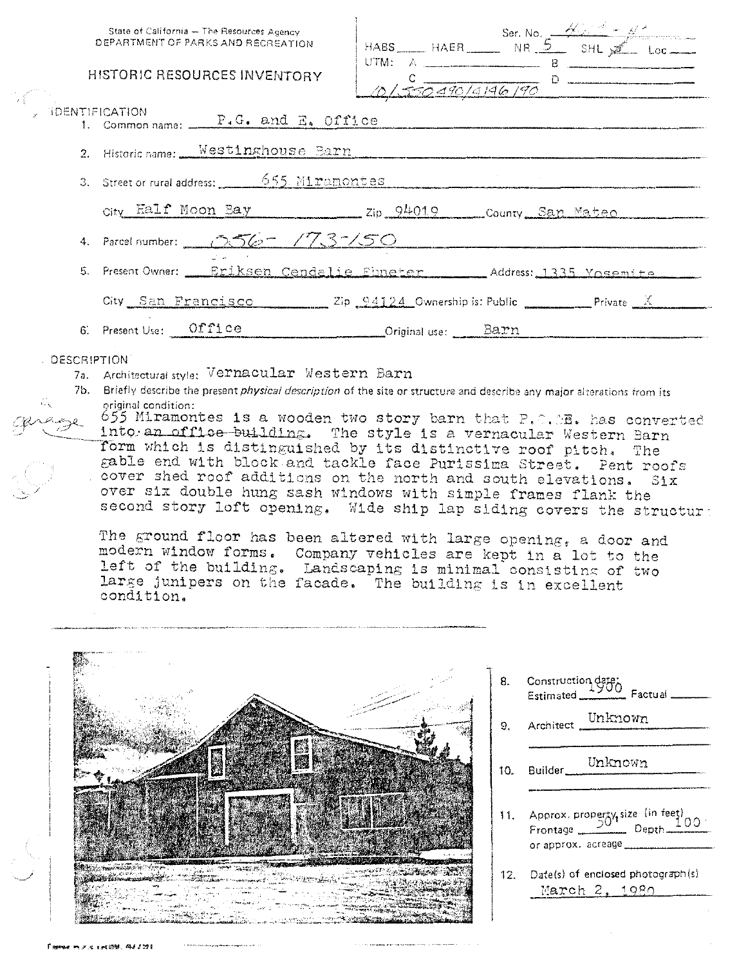|                                                                                                                                                                                                                                                                                                                                                                                                                                                                                                                                                                                                                                                                                                                                                                                                                                                                                                                                                                                                                                                   | State of California - The Resources Agency<br>DEPARTMENT OF PARKS AND RECREATION<br>HISTORIC RESOURCES INVENTORY<br><b>IDENTIFICATION</b><br>1. Common name: P.G. and E. Office<br>2. Historic name: Westinghouse Barn<br>3. Street or rural address: 655 Miramontes |  | $HABS$ $HAFR$ $NR$ $S$ $SHL$ $MR$ $100$<br>2/550490/4146/90                                                                                                                                      |  |
|---------------------------------------------------------------------------------------------------------------------------------------------------------------------------------------------------------------------------------------------------------------------------------------------------------------------------------------------------------------------------------------------------------------------------------------------------------------------------------------------------------------------------------------------------------------------------------------------------------------------------------------------------------------------------------------------------------------------------------------------------------------------------------------------------------------------------------------------------------------------------------------------------------------------------------------------------------------------------------------------------------------------------------------------------|----------------------------------------------------------------------------------------------------------------------------------------------------------------------------------------------------------------------------------------------------------------------|--|--------------------------------------------------------------------------------------------------------------------------------------------------------------------------------------------------|--|
|                                                                                                                                                                                                                                                                                                                                                                                                                                                                                                                                                                                                                                                                                                                                                                                                                                                                                                                                                                                                                                                   | City Half Moon Bay Zip 94019 County San Mateo                                                                                                                                                                                                                        |  |                                                                                                                                                                                                  |  |
|                                                                                                                                                                                                                                                                                                                                                                                                                                                                                                                                                                                                                                                                                                                                                                                                                                                                                                                                                                                                                                                   | 4. Parcel number: 256 - 173-150                                                                                                                                                                                                                                      |  |                                                                                                                                                                                                  |  |
|                                                                                                                                                                                                                                                                                                                                                                                                                                                                                                                                                                                                                                                                                                                                                                                                                                                                                                                                                                                                                                                   | 5. Present Owner: Eriksen Cendalie Ebneter Address: 1335 Yosemite                                                                                                                                                                                                    |  |                                                                                                                                                                                                  |  |
|                                                                                                                                                                                                                                                                                                                                                                                                                                                                                                                                                                                                                                                                                                                                                                                                                                                                                                                                                                                                                                                   | City San Francisco Zip 94124 Ownership is: Public Private X                                                                                                                                                                                                          |  |                                                                                                                                                                                                  |  |
|                                                                                                                                                                                                                                                                                                                                                                                                                                                                                                                                                                                                                                                                                                                                                                                                                                                                                                                                                                                                                                                   | 6. Present Use: 0ffice Criginal use: Barn                                                                                                                                                                                                                            |  |                                                                                                                                                                                                  |  |
| DESCRIPTION<br>7a. Architectural style: Vernacular Western Barn<br>7b. Briefly describe the present <i>physical description</i> of the site or structure and describe any major alterations from its<br>original condition:<br>655 Miramontes is a wooden two story barn that $P_{\ast} \cap \cdot \circ B_{\ast}$ has converted<br>into an offloe building. The style is a vernacular Western Barn<br>form which is distinguished by its distinctive roof pitch. The<br>gable end with block and tackle face Purissima Street. Pent roofs<br>. cover shed roof additions on the north and south elevations. Six<br>over six double hung sash windows with simple frames flank the<br>second story loft opening. Wide ship lap siding covers the structure<br>The ground floor has been altered with large opening, a door and<br>modern window forms.<br>Company vehicles are kept in a lot to the<br>left of the building. Landscaping is minimal consisting of two<br>large junipers on the facade. The building is in excellent<br>condition. |                                                                                                                                                                                                                                                                      |  |                                                                                                                                                                                                  |  |
|                                                                                                                                                                                                                                                                                                                                                                                                                                                                                                                                                                                                                                                                                                                                                                                                                                                                                                                                                                                                                                                   |                                                                                                                                                                                                                                                                      |  | 8. Construction date;<br>Estimated Factual<br>Architect Unknown<br>9.<br>Unknown<br>Builder_<br>10 <sub>1</sub><br>11. Approx. property, size (in feet)<br>Frontage $\frac{50}{2}$ Depth<br>100. |  |

 $\begin{picture}(20,20) \put(0,0){\line(1,0){15}} \put(15,0){\line(1,0){15}} \put(15,0){\line(1,0){15}} \put(15,0){\line(1,0){15}} \put(15,0){\line(1,0){15}} \put(15,0){\line(1,0){15}} \put(15,0){\line(1,0){15}} \put(15,0){\line(1,0){15}} \put(15,0){\line(1,0){15}} \put(15,0){\line(1,0){15}} \put(15,0){\line(1,0){15}} \put(15,0){\line(1$ ದಿದೆ. ಕೆಳ الكالاقته Kontrolle Andre أخفتهمهم وبرازة بأحطيست Cartes 化氯苯丙二

12. Date(s) of enclosed photograph(s) March 2, 1980

or approx. acreage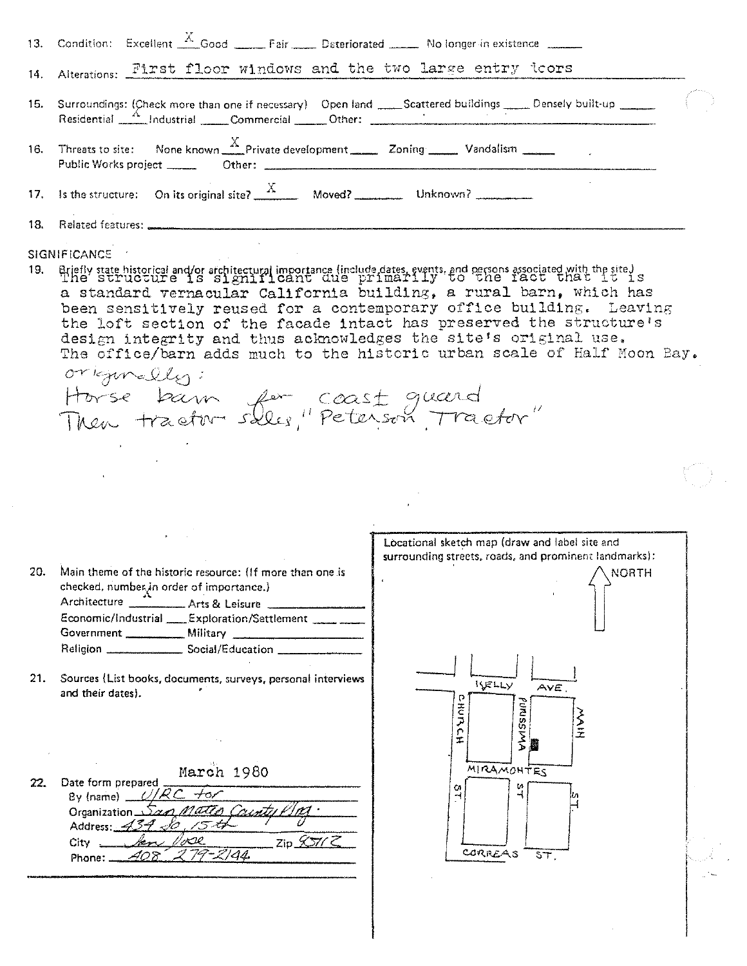|     | 13. Condition: Excellent <u>A Good</u> _____ Fair ____ Deteriorated _____ No longer in existence ______                                                                                                                                                                                                                                     |  |
|-----|---------------------------------------------------------------------------------------------------------------------------------------------------------------------------------------------------------------------------------------------------------------------------------------------------------------------------------------------|--|
|     | 14. Alterations: First floor windows and the two large entry loors                                                                                                                                                                                                                                                                          |  |
|     | 15. Surroundings: (Check more than one if necessary) Open land ____Scattered buildings _____ Densely built-up _____<br>Residential 4 Industrial Commercial Other: 2001 - 2010 12:00 12:00 12:00 12:00 12:00 12:00 12:00 12:00 12:00 1                                                                                                       |  |
|     | 16. Threats to site: None known $\frac{X}{X}$ Private development 20ning Vandalism 200 Vandalism                                                                                                                                                                                                                                            |  |
|     | 17. Is the structure: On its original site? $\frac{X}{X}$ Moved? Unknown?                                                                                                                                                                                                                                                                   |  |
|     |                                                                                                                                                                                                                                                                                                                                             |  |
|     | SIGNIFICANCE /                                                                                                                                                                                                                                                                                                                              |  |
| 19. | Briefly state historical and/or architectural importance (include dates, events, and persons associated with the site.)<br>a standard vernacular California building, a rural barn, which has<br>been sensitively reused for a contemporary office building. Leaving<br>the loft section of the facade intact has preserved the structure's |  |

design integrity and thus acknowledges the site's original use.<br>The office/barn adds much to the historic urban scale of Half Moon Bay. originally:

Horse bann for coast quard

20. Main theme of the historic resource: (If more than one is checked, number in order of importance.) Architecture Arts & Leisure Economic/Industrial \_\_\_\_Exploration/Settlement \_\_\_\_\_ \_\_\_ Government \_\_\_\_\_\_\_\_\_\_\_ Military \_\_ 

3 P

21. Sources (List books, documents, surveys, personal interviews and their dates).

March 1980  $22.$ Date form prepared By (name)  $\angle$ // گد\_Organization <u>n Matto Caunty P</u> Address: 434  $\frac{2}{\sqrt{2}}$ zip  $\frac{2}{\sqrt{2}}$ Phone:  $\angle$  408

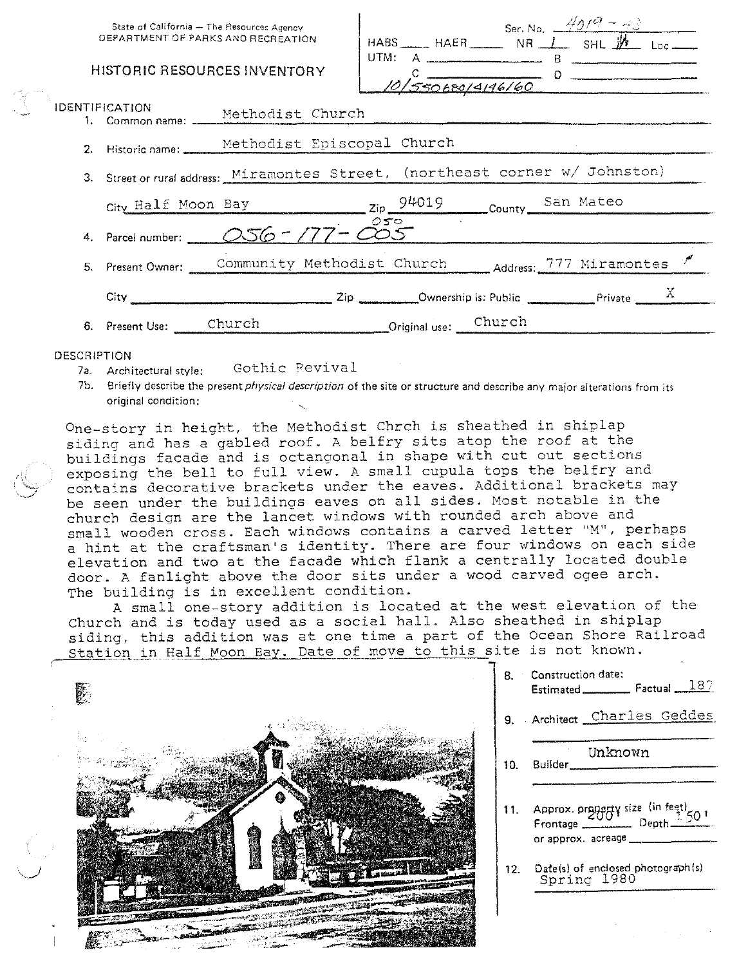| State of California - The Resources Agency<br>DEPARTMENT OF PARKS AND RECREATION |                                                                                                                                                                                                                                      |                      |                                     | Ser. No. $49/9 - 48$<br>HABS HAER NR $\perp$ SHL $\cancel{M}$ Loc |  |  |
|----------------------------------------------------------------------------------|--------------------------------------------------------------------------------------------------------------------------------------------------------------------------------------------------------------------------------------|----------------------|-------------------------------------|-------------------------------------------------------------------|--|--|
|                                                                                  | HISTORIC RESOURCES INVENTORY                                                                                                                                                                                                         |                      | $\frac{c}{\sqrt{550680/4146/60}}$ 0 |                                                                   |  |  |
| <b>IDENTIFICATION</b>                                                            | 1. Common name: Methodist Church                                                                                                                                                                                                     |                      |                                     |                                                                   |  |  |
|                                                                                  | 2. Historic name: Methodist Episcopal Church                                                                                                                                                                                         |                      |                                     |                                                                   |  |  |
|                                                                                  | 3. Street or rural address: Miramontes Street, (northeast corner w/ Johnston)                                                                                                                                                        |                      |                                     |                                                                   |  |  |
|                                                                                  | City Half Moon Bay 2ip 94019 County San Mateo                                                                                                                                                                                        |                      |                                     |                                                                   |  |  |
|                                                                                  |                                                                                                                                                                                                                                      |                      |                                     |                                                                   |  |  |
|                                                                                  | 5. Present Owner: Community Methodist Church Address: 777 Miramontes                                                                                                                                                                 |                      |                                     |                                                                   |  |  |
| $City_$                                                                          | $\overbrace{\hspace{2.3cm}}^{\text{2ip}}$ $\overbrace{\hspace{2.3cm}}^{\text{2ip}}$ $\overbrace{\hspace{2.3cm}}^{\text{Ownership is: Public}}$ $\overbrace{\hspace{2.3cm}}^{\text{Private}}$ $\overbrace{\hspace{2.3cm}}^{\text{X}}$ |                      |                                     |                                                                   |  |  |
| 6. Present Use: Church                                                           |                                                                                                                                                                                                                                      | Original use: Church |                                     |                                                                   |  |  |

## **DESCRIPTION**

- Gothic Revival 7a. Architectural style:
- 7b. Briefly describe the present *physical description* of the site or structure and describe any major alterations from its original condition:

One-story in height, the Methodist Chrch is sheathed in shiplap siding and has a gabled roof. A belfry sits atop the roof at the buildings facade and is octangonal in shape with cut out sections exposing the bell to full view. A small cupula tops the belfry and contains decorative brackets under the eaves. Additional brackets may be seen under the buildings eaves on all sides. Most notable in the church design are the lancet windows with rounded arch above and small wooden cross. Each windows contains a carved letter "M", perhaps a hint at the craftsman's identity. There are four windows on each side elevation and two at the facade which flank a centrally located double door. A fanlight above the door sits under a wood carved ogee arch. The building is in excellent condition.

A small one-story addition is located at the west elevation of the Church and is today used as a social hall. Also sheathed in shiplap siding, this addition was at one time a part of the Ocean Shore Railroad Station in Half Moon Bay. Date of move to this site is not known.



8. Construction date: Estimated Factual 187 9. Architect Charles Geddes Unknown  $10<sub>1</sub>$ Builder Approx. property size (in feet)  $11.$ Frontage \_ Depth or approx. acreage Date(s) of enclosed photograph(s)<br>Spring 1980  $12.$